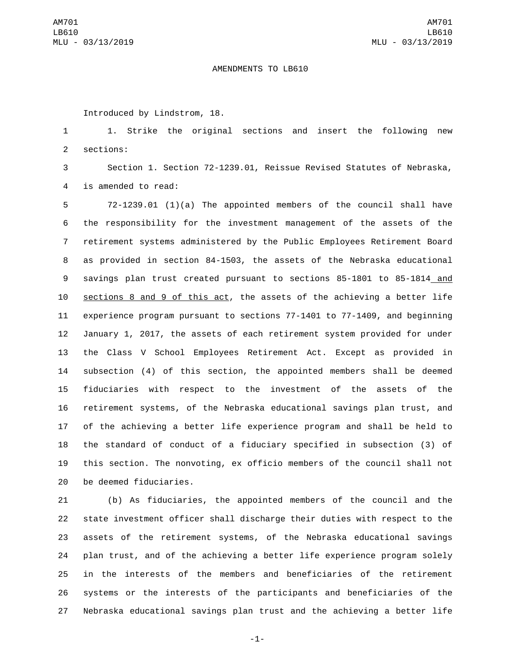## AMENDMENTS TO LB610

Introduced by Lindstrom, 18.

 1. Strike the original sections and insert the following new 2 sections:

 Section 1. Section 72-1239.01, Reissue Revised Statutes of Nebraska, 4 is amended to read:

 72-1239.01 (1)(a) The appointed members of the council shall have the responsibility for the investment management of the assets of the retirement systems administered by the Public Employees Retirement Board as provided in section 84-1503, the assets of the Nebraska educational savings plan trust created pursuant to sections 85-1801 to 85-1814 and sections 8 and 9 of this act, the assets of the achieving a better life experience program pursuant to sections 77-1401 to 77-1409, and beginning January 1, 2017, the assets of each retirement system provided for under the Class V School Employees Retirement Act. Except as provided in subsection (4) of this section, the appointed members shall be deemed fiduciaries with respect to the investment of the assets of the retirement systems, of the Nebraska educational savings plan trust, and of the achieving a better life experience program and shall be held to the standard of conduct of a fiduciary specified in subsection (3) of this section. The nonvoting, ex officio members of the council shall not 20 be deemed fiduciaries.

 (b) As fiduciaries, the appointed members of the council and the state investment officer shall discharge their duties with respect to the assets of the retirement systems, of the Nebraska educational savings plan trust, and of the achieving a better life experience program solely in the interests of the members and beneficiaries of the retirement systems or the interests of the participants and beneficiaries of the Nebraska educational savings plan trust and the achieving a better life

-1-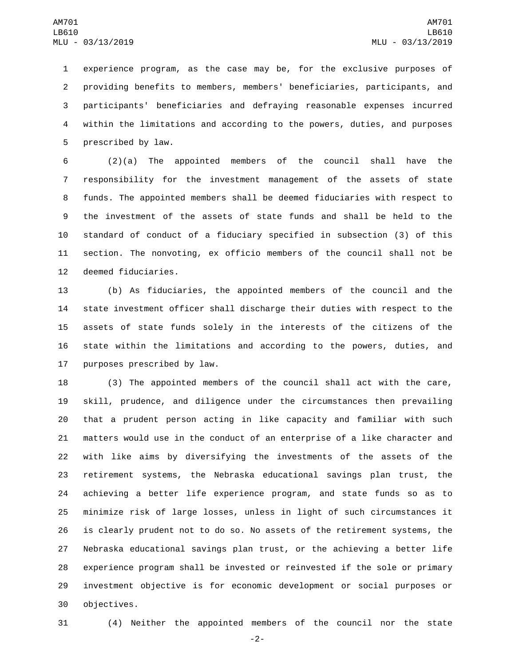experience program, as the case may be, for the exclusive purposes of providing benefits to members, members' beneficiaries, participants, and participants' beneficiaries and defraying reasonable expenses incurred within the limitations and according to the powers, duties, and purposes 5 prescribed by law.

 (2)(a) The appointed members of the council shall have the responsibility for the investment management of the assets of state funds. The appointed members shall be deemed fiduciaries with respect to the investment of the assets of state funds and shall be held to the standard of conduct of a fiduciary specified in subsection (3) of this section. The nonvoting, ex officio members of the council shall not be 12 deemed fiduciaries.

 (b) As fiduciaries, the appointed members of the council and the state investment officer shall discharge their duties with respect to the assets of state funds solely in the interests of the citizens of the state within the limitations and according to the powers, duties, and 17 purposes prescribed by law.

 (3) The appointed members of the council shall act with the care, skill, prudence, and diligence under the circumstances then prevailing that a prudent person acting in like capacity and familiar with such matters would use in the conduct of an enterprise of a like character and with like aims by diversifying the investments of the assets of the retirement systems, the Nebraska educational savings plan trust, the achieving a better life experience program, and state funds so as to minimize risk of large losses, unless in light of such circumstances it is clearly prudent not to do so. No assets of the retirement systems, the Nebraska educational savings plan trust, or the achieving a better life experience program shall be invested or reinvested if the sole or primary investment objective is for economic development or social purposes or 30 objectives.

(4) Neither the appointed members of the council nor the state

-2-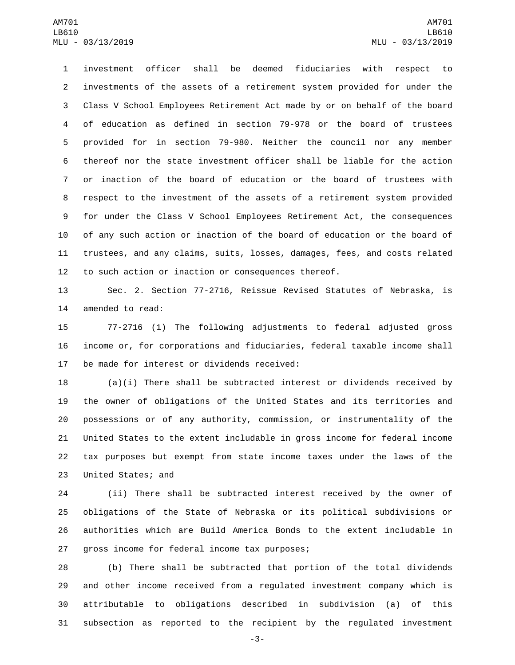investment officer shall be deemed fiduciaries with respect to investments of the assets of a retirement system provided for under the Class V School Employees Retirement Act made by or on behalf of the board of education as defined in section 79-978 or the board of trustees provided for in section 79-980. Neither the council nor any member thereof nor the state investment officer shall be liable for the action or inaction of the board of education or the board of trustees with respect to the investment of the assets of a retirement system provided for under the Class V School Employees Retirement Act, the consequences of any such action or inaction of the board of education or the board of trustees, and any claims, suits, losses, damages, fees, and costs related to such action or inaction or consequences thereof.

 Sec. 2. Section 77-2716, Reissue Revised Statutes of Nebraska, is 14 amended to read:

 77-2716 (1) The following adjustments to federal adjusted gross income or, for corporations and fiduciaries, federal taxable income shall 17 be made for interest or dividends received:

 (a)(i) There shall be subtracted interest or dividends received by the owner of obligations of the United States and its territories and possessions or of any authority, commission, or instrumentality of the United States to the extent includable in gross income for federal income tax purposes but exempt from state income taxes under the laws of the 23 United States; and

 (ii) There shall be subtracted interest received by the owner of obligations of the State of Nebraska or its political subdivisions or authorities which are Build America Bonds to the extent includable in 27 gross income for federal income tax purposes;

 (b) There shall be subtracted that portion of the total dividends and other income received from a regulated investment company which is attributable to obligations described in subdivision (a) of this subsection as reported to the recipient by the regulated investment

-3-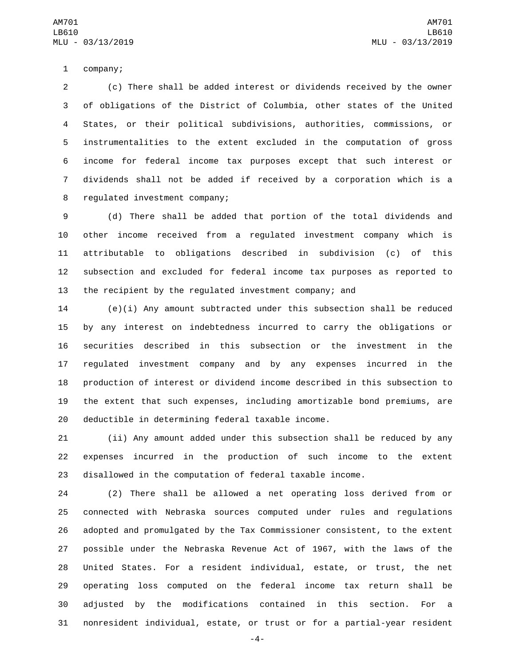1 company;

 (c) There shall be added interest or dividends received by the owner of obligations of the District of Columbia, other states of the United States, or their political subdivisions, authorities, commissions, or instrumentalities to the extent excluded in the computation of gross income for federal income tax purposes except that such interest or dividends shall not be added if received by a corporation which is a 8 regulated investment company;

 (d) There shall be added that portion of the total dividends and other income received from a regulated investment company which is attributable to obligations described in subdivision (c) of this subsection and excluded for federal income tax purposes as reported to the recipient by the regulated investment company; and

 (e)(i) Any amount subtracted under this subsection shall be reduced by any interest on indebtedness incurred to carry the obligations or securities described in this subsection or the investment in the regulated investment company and by any expenses incurred in the production of interest or dividend income described in this subsection to the extent that such expenses, including amortizable bond premiums, are 20 deductible in determining federal taxable income.

 (ii) Any amount added under this subsection shall be reduced by any expenses incurred in the production of such income to the extent disallowed in the computation of federal taxable income.

 (2) There shall be allowed a net operating loss derived from or connected with Nebraska sources computed under rules and regulations adopted and promulgated by the Tax Commissioner consistent, to the extent possible under the Nebraska Revenue Act of 1967, with the laws of the United States. For a resident individual, estate, or trust, the net operating loss computed on the federal income tax return shall be adjusted by the modifications contained in this section. For a nonresident individual, estate, or trust or for a partial-year resident

-4-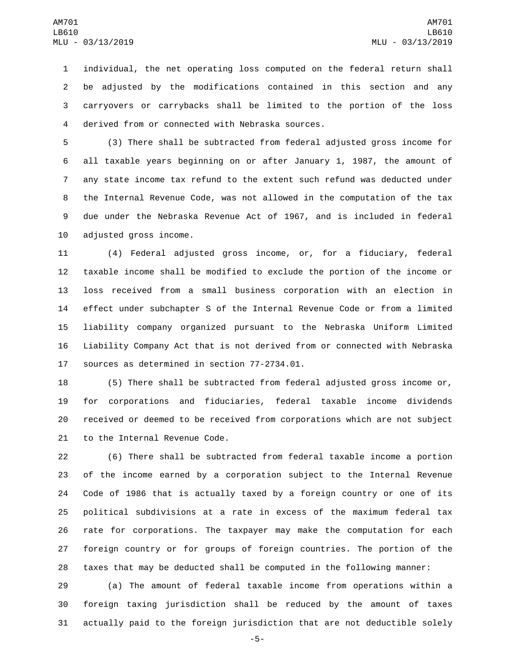individual, the net operating loss computed on the federal return shall be adjusted by the modifications contained in this section and any carryovers or carrybacks shall be limited to the portion of the loss derived from or connected with Nebraska sources.4

 (3) There shall be subtracted from federal adjusted gross income for all taxable years beginning on or after January 1, 1987, the amount of any state income tax refund to the extent such refund was deducted under the Internal Revenue Code, was not allowed in the computation of the tax due under the Nebraska Revenue Act of 1967, and is included in federal 10 adjusted gross income.

 (4) Federal adjusted gross income, or, for a fiduciary, federal taxable income shall be modified to exclude the portion of the income or loss received from a small business corporation with an election in effect under subchapter S of the Internal Revenue Code or from a limited liability company organized pursuant to the Nebraska Uniform Limited Liability Company Act that is not derived from or connected with Nebraska 17 sources as determined in section 77-2734.01.

 (5) There shall be subtracted from federal adjusted gross income or, for corporations and fiduciaries, federal taxable income dividends received or deemed to be received from corporations which are not subject 21 to the Internal Revenue Code.

 (6) There shall be subtracted from federal taxable income a portion of the income earned by a corporation subject to the Internal Revenue Code of 1986 that is actually taxed by a foreign country or one of its political subdivisions at a rate in excess of the maximum federal tax rate for corporations. The taxpayer may make the computation for each foreign country or for groups of foreign countries. The portion of the taxes that may be deducted shall be computed in the following manner:

 (a) The amount of federal taxable income from operations within a foreign taxing jurisdiction shall be reduced by the amount of taxes actually paid to the foreign jurisdiction that are not deductible solely

-5-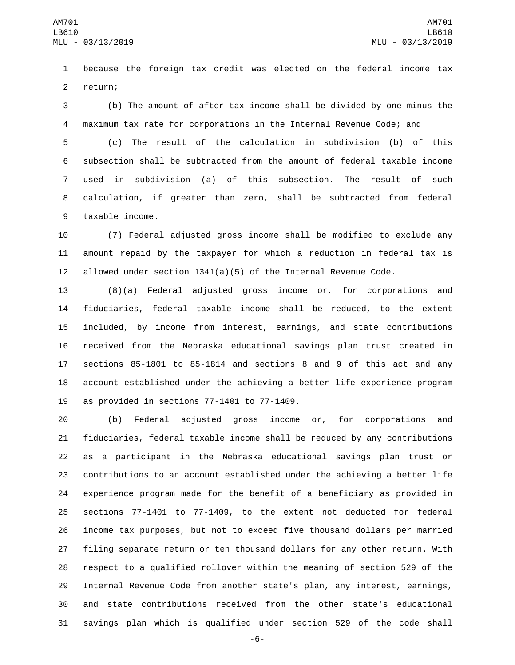because the foreign tax credit was elected on the federal income tax 2 return;

 (b) The amount of after-tax income shall be divided by one minus the maximum tax rate for corporations in the Internal Revenue Code; and

 (c) The result of the calculation in subdivision (b) of this subsection shall be subtracted from the amount of federal taxable income used in subdivision (a) of this subsection. The result of such calculation, if greater than zero, shall be subtracted from federal 9 taxable income.

 (7) Federal adjusted gross income shall be modified to exclude any amount repaid by the taxpayer for which a reduction in federal tax is 12 allowed under section  $1341(a)(5)$  of the Internal Revenue Code.

 (8)(a) Federal adjusted gross income or, for corporations and fiduciaries, federal taxable income shall be reduced, to the extent included, by income from interest, earnings, and state contributions received from the Nebraska educational savings plan trust created in sections 85-1801 to 85-1814 and sections 8 and 9 of this act and any account established under the achieving a better life experience program 19 as provided in sections  $77-1401$  to  $77-1409$ .

 (b) Federal adjusted gross income or, for corporations and fiduciaries, federal taxable income shall be reduced by any contributions as a participant in the Nebraska educational savings plan trust or contributions to an account established under the achieving a better life experience program made for the benefit of a beneficiary as provided in sections 77-1401 to 77-1409, to the extent not deducted for federal income tax purposes, but not to exceed five thousand dollars per married filing separate return or ten thousand dollars for any other return. With respect to a qualified rollover within the meaning of section 529 of the Internal Revenue Code from another state's plan, any interest, earnings, and state contributions received from the other state's educational savings plan which is qualified under section 529 of the code shall

-6-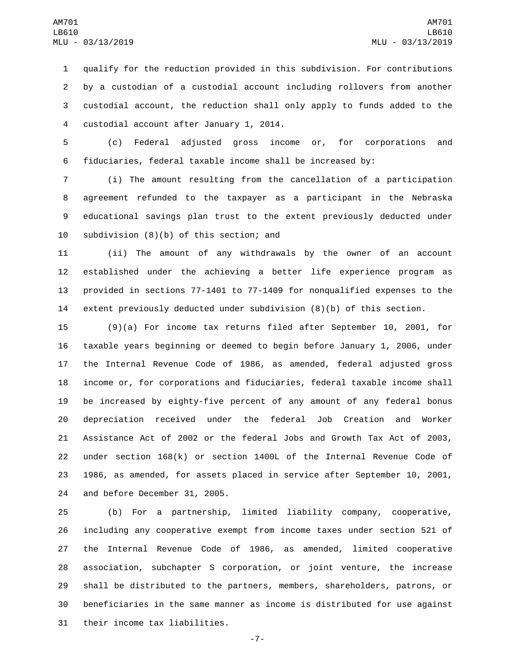qualify for the reduction provided in this subdivision. For contributions by a custodian of a custodial account including rollovers from another custodial account, the reduction shall only apply to funds added to the 4 custodial account after January 1, 2014.

 (c) Federal adjusted gross income or, for corporations and fiduciaries, federal taxable income shall be increased by:

 (i) The amount resulting from the cancellation of a participation agreement refunded to the taxpayer as a participant in the Nebraska educational savings plan trust to the extent previously deducted under 10 subdivision  $(8)(b)$  of this section; and

 (ii) The amount of any withdrawals by the owner of an account established under the achieving a better life experience program as provided in sections 77-1401 to 77-1409 for nonqualified expenses to the extent previously deducted under subdivision (8)(b) of this section.

 (9)(a) For income tax returns filed after September 10, 2001, for taxable years beginning or deemed to begin before January 1, 2006, under the Internal Revenue Code of 1986, as amended, federal adjusted gross income or, for corporations and fiduciaries, federal taxable income shall be increased by eighty-five percent of any amount of any federal bonus depreciation received under the federal Job Creation and Worker Assistance Act of 2002 or the federal Jobs and Growth Tax Act of 2003, under section 168(k) or section 1400L of the Internal Revenue Code of 1986, as amended, for assets placed in service after September 10, 2001, 24 and before December 31, 2005.

 (b) For a partnership, limited liability company, cooperative, including any cooperative exempt from income taxes under section 521 of the Internal Revenue Code of 1986, as amended, limited cooperative association, subchapter S corporation, or joint venture, the increase shall be distributed to the partners, members, shareholders, patrons, or beneficiaries in the same manner as income is distributed for use against 31 their income tax liabilities.

-7-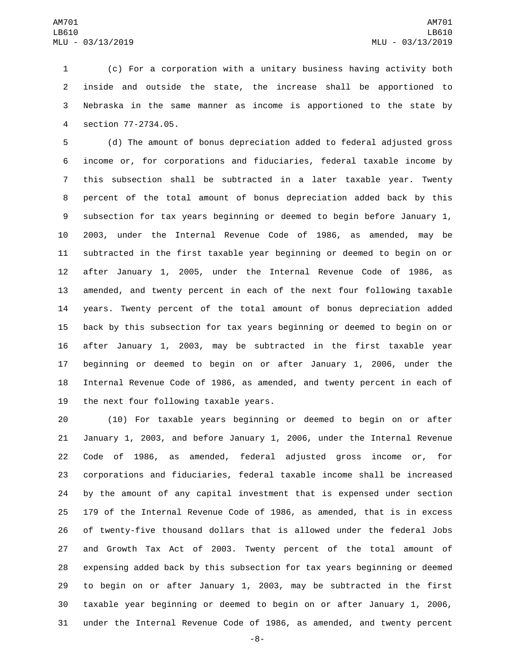(c) For a corporation with a unitary business having activity both inside and outside the state, the increase shall be apportioned to Nebraska in the same manner as income is apportioned to the state by section 77-2734.05.4

 (d) The amount of bonus depreciation added to federal adjusted gross income or, for corporations and fiduciaries, federal taxable income by this subsection shall be subtracted in a later taxable year. Twenty percent of the total amount of bonus depreciation added back by this subsection for tax years beginning or deemed to begin before January 1, 2003, under the Internal Revenue Code of 1986, as amended, may be subtracted in the first taxable year beginning or deemed to begin on or after January 1, 2005, under the Internal Revenue Code of 1986, as amended, and twenty percent in each of the next four following taxable years. Twenty percent of the total amount of bonus depreciation added back by this subsection for tax years beginning or deemed to begin on or after January 1, 2003, may be subtracted in the first taxable year beginning or deemed to begin on or after January 1, 2006, under the Internal Revenue Code of 1986, as amended, and twenty percent in each of 19 the next four following taxable years.

 (10) For taxable years beginning or deemed to begin on or after January 1, 2003, and before January 1, 2006, under the Internal Revenue Code of 1986, as amended, federal adjusted gross income or, for corporations and fiduciaries, federal taxable income shall be increased by the amount of any capital investment that is expensed under section 179 of the Internal Revenue Code of 1986, as amended, that is in excess of twenty-five thousand dollars that is allowed under the federal Jobs and Growth Tax Act of 2003. Twenty percent of the total amount of expensing added back by this subsection for tax years beginning or deemed to begin on or after January 1, 2003, may be subtracted in the first taxable year beginning or deemed to begin on or after January 1, 2006, under the Internal Revenue Code of 1986, as amended, and twenty percent

-8-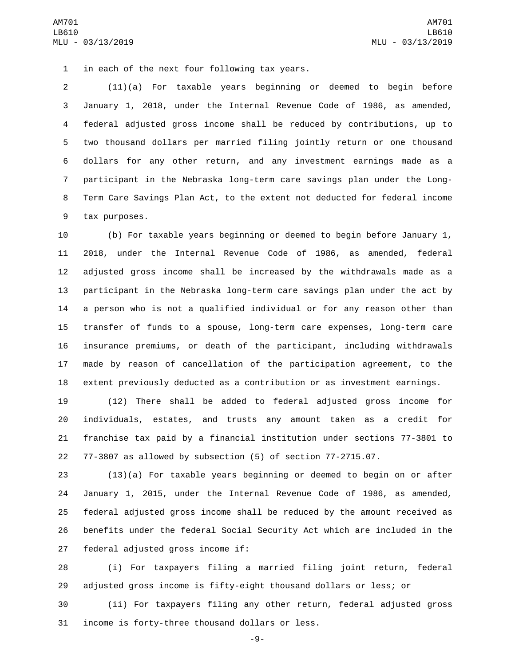1 in each of the next four following tax years.

 (11)(a) For taxable years beginning or deemed to begin before January 1, 2018, under the Internal Revenue Code of 1986, as amended, federal adjusted gross income shall be reduced by contributions, up to two thousand dollars per married filing jointly return or one thousand dollars for any other return, and any investment earnings made as a participant in the Nebraska long-term care savings plan under the Long- Term Care Savings Plan Act, to the extent not deducted for federal income 9 tax purposes.

 (b) For taxable years beginning or deemed to begin before January 1, 2018, under the Internal Revenue Code of 1986, as amended, federal adjusted gross income shall be increased by the withdrawals made as a participant in the Nebraska long-term care savings plan under the act by a person who is not a qualified individual or for any reason other than transfer of funds to a spouse, long-term care expenses, long-term care insurance premiums, or death of the participant, including withdrawals made by reason of cancellation of the participation agreement, to the extent previously deducted as a contribution or as investment earnings.

 (12) There shall be added to federal adjusted gross income for individuals, estates, and trusts any amount taken as a credit for franchise tax paid by a financial institution under sections 77-3801 to 77-3807 as allowed by subsection (5) of section 77-2715.07.

 (13)(a) For taxable years beginning or deemed to begin on or after January 1, 2015, under the Internal Revenue Code of 1986, as amended, federal adjusted gross income shall be reduced by the amount received as benefits under the federal Social Security Act which are included in the 27 federal adjusted gross income if:

 (i) For taxpayers filing a married filing joint return, federal adjusted gross income is fifty-eight thousand dollars or less; or

 (ii) For taxpayers filing any other return, federal adjusted gross 31 income is forty-three thousand dollars or less.

-9-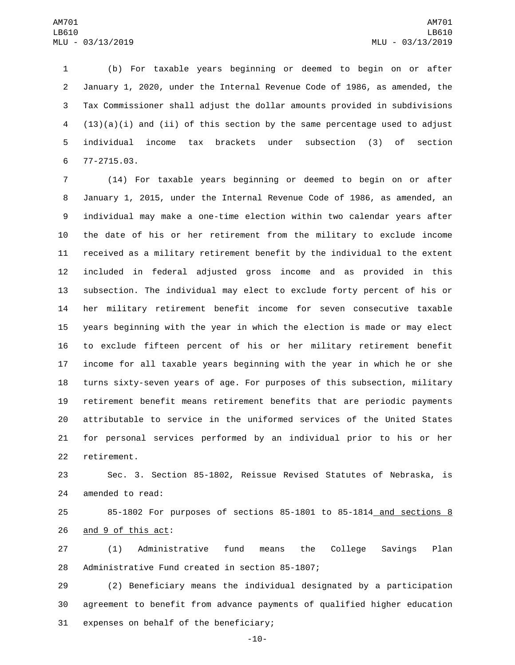(b) For taxable years beginning or deemed to begin on or after January 1, 2020, under the Internal Revenue Code of 1986, as amended, the Tax Commissioner shall adjust the dollar amounts provided in subdivisions (13)(a)(i) and (ii) of this section by the same percentage used to adjust individual income tax brackets under subsection (3) of section 77-2715.03.6

 (14) For taxable years beginning or deemed to begin on or after January 1, 2015, under the Internal Revenue Code of 1986, as amended, an individual may make a one-time election within two calendar years after the date of his or her retirement from the military to exclude income received as a military retirement benefit by the individual to the extent included in federal adjusted gross income and as provided in this subsection. The individual may elect to exclude forty percent of his or her military retirement benefit income for seven consecutive taxable years beginning with the year in which the election is made or may elect to exclude fifteen percent of his or her military retirement benefit income for all taxable years beginning with the year in which he or she turns sixty-seven years of age. For purposes of this subsection, military retirement benefit means retirement benefits that are periodic payments attributable to service in the uniformed services of the United States for personal services performed by an individual prior to his or her 22 retirement.

 Sec. 3. Section 85-1802, Reissue Revised Statutes of Nebraska, is 24 amended to read:

 85-1802 For purposes of sections 85-1801 to 85-1814 and sections 8 26 and 9 of this act:

 (1) Administrative fund means the College Savings Plan 28 Administrative Fund created in section 85-1807;

 (2) Beneficiary means the individual designated by a participation agreement to benefit from advance payments of qualified higher education 31 expenses on behalf of the beneficiary;

-10-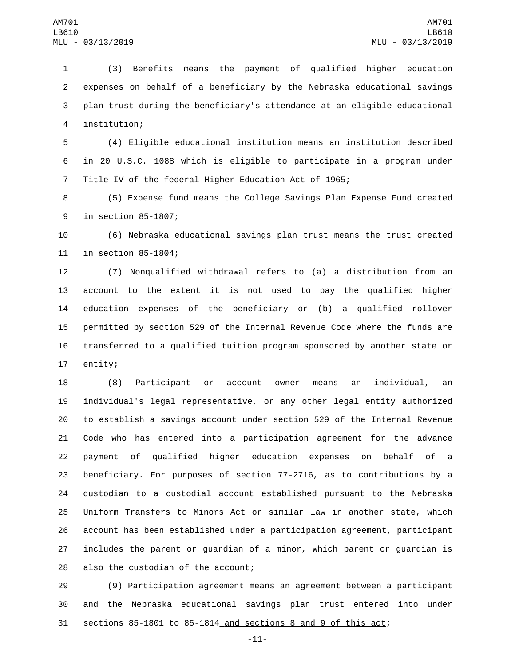(3) Benefits means the payment of qualified higher education expenses on behalf of a beneficiary by the Nebraska educational savings plan trust during the beneficiary's attendance at an eligible educational institution;4

 (4) Eligible educational institution means an institution described in 20 U.S.C. 1088 which is eligible to participate in a program under Title IV of the federal Higher Education Act of 1965;

 (5) Expense fund means the College Savings Plan Expense Fund created 9 in section 85-1807;

 (6) Nebraska educational savings plan trust means the trust created 11 in section 85-1804;

 (7) Nonqualified withdrawal refers to (a) a distribution from an account to the extent it is not used to pay the qualified higher education expenses of the beneficiary or (b) a qualified rollover permitted by section 529 of the Internal Revenue Code where the funds are transferred to a qualified tuition program sponsored by another state or 17 entity;

 (8) Participant or account owner means an individual, an individual's legal representative, or any other legal entity authorized to establish a savings account under section 529 of the Internal Revenue Code who has entered into a participation agreement for the advance payment of qualified higher education expenses on behalf of a beneficiary. For purposes of section 77-2716, as to contributions by a custodian to a custodial account established pursuant to the Nebraska Uniform Transfers to Minors Act or similar law in another state, which account has been established under a participation agreement, participant includes the parent or guardian of a minor, which parent or guardian is 28 also the custodian of the account;

 (9) Participation agreement means an agreement between a participant and the Nebraska educational savings plan trust entered into under sections 85-1801 to 85-1814 and sections 8 and 9 of this act;

-11-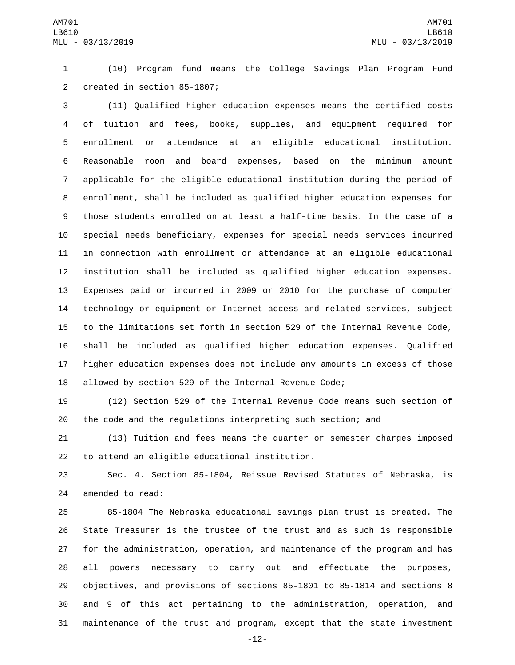(10) Program fund means the College Savings Plan Program Fund 2 created in section 85-1807;

 (11) Qualified higher education expenses means the certified costs of tuition and fees, books, supplies, and equipment required for enrollment or attendance at an eligible educational institution. Reasonable room and board expenses, based on the minimum amount applicable for the eligible educational institution during the period of enrollment, shall be included as qualified higher education expenses for those students enrolled on at least a half-time basis. In the case of a special needs beneficiary, expenses for special needs services incurred in connection with enrollment or attendance at an eligible educational institution shall be included as qualified higher education expenses. Expenses paid or incurred in 2009 or 2010 for the purchase of computer technology or equipment or Internet access and related services, subject to the limitations set forth in section 529 of the Internal Revenue Code, shall be included as qualified higher education expenses. Qualified higher education expenses does not include any amounts in excess of those allowed by section 529 of the Internal Revenue Code;

 (12) Section 529 of the Internal Revenue Code means such section of the code and the regulations interpreting such section; and

 (13) Tuition and fees means the quarter or semester charges imposed 22 to attend an eligible educational institution.

 Sec. 4. Section 85-1804, Reissue Revised Statutes of Nebraska, is 24 amended to read:

 85-1804 The Nebraska educational savings plan trust is created. The State Treasurer is the trustee of the trust and as such is responsible for the administration, operation, and maintenance of the program and has all powers necessary to carry out and effectuate the purposes, objectives, and provisions of sections 85-1801 to 85-1814 and sections 8 and 9 of this act pertaining to the administration, operation, and maintenance of the trust and program, except that the state investment

-12-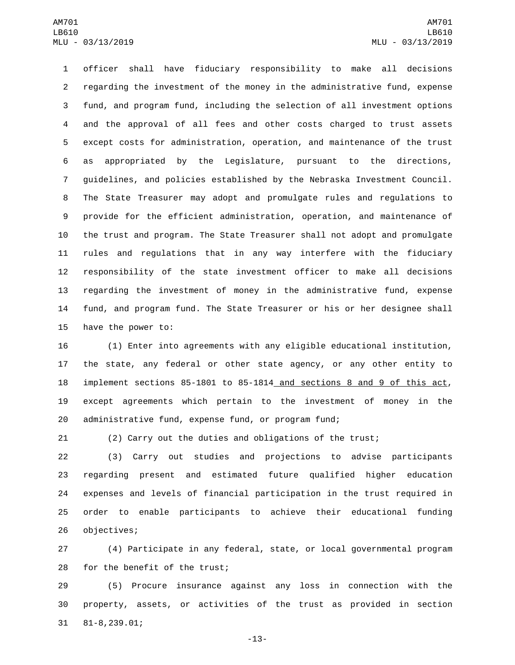officer shall have fiduciary responsibility to make all decisions regarding the investment of the money in the administrative fund, expense fund, and program fund, including the selection of all investment options and the approval of all fees and other costs charged to trust assets except costs for administration, operation, and maintenance of the trust as appropriated by the Legislature, pursuant to the directions, guidelines, and policies established by the Nebraska Investment Council. The State Treasurer may adopt and promulgate rules and regulations to provide for the efficient administration, operation, and maintenance of the trust and program. The State Treasurer shall not adopt and promulgate rules and regulations that in any way interfere with the fiduciary responsibility of the state investment officer to make all decisions regarding the investment of money in the administrative fund, expense fund, and program fund. The State Treasurer or his or her designee shall 15 have the power to:

 (1) Enter into agreements with any eligible educational institution, the state, any federal or other state agency, or any other entity to implement sections 85-1801 to 85-1814 and sections 8 and 9 of this act, except agreements which pertain to the investment of money in the administrative fund, expense fund, or program fund;

(2) Carry out the duties and obligations of the trust;

 (3) Carry out studies and projections to advise participants regarding present and estimated future qualified higher education expenses and levels of financial participation in the trust required in order to enable participants to achieve their educational funding 26 objectives;

 (4) Participate in any federal, state, or local governmental program 28 for the benefit of the trust;

 (5) Procure insurance against any loss in connection with the property, assets, or activities of the trust as provided in section 81-8,239.01;31

-13-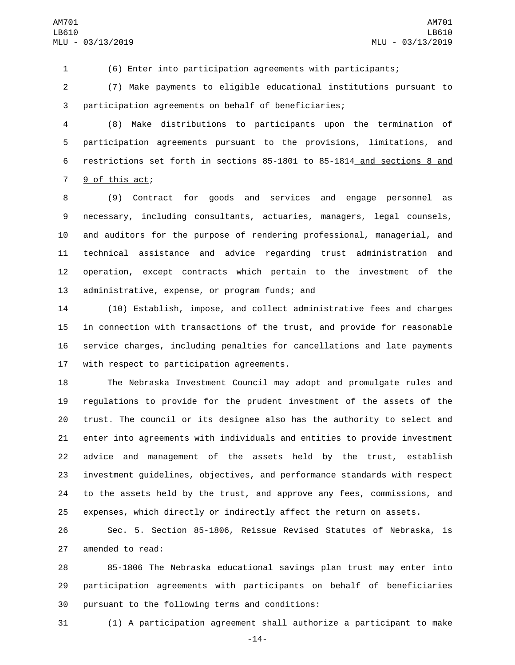(6) Enter into participation agreements with participants;

 (7) Make payments to eligible educational institutions pursuant to participation agreements on behalf of beneficiaries;

 (8) Make distributions to participants upon the termination of participation agreements pursuant to the provisions, limitations, and restrictions set forth in sections 85-1801 to 85-1814 and sections 8 and 7 9 of this act;

 (9) Contract for goods and services and engage personnel as necessary, including consultants, actuaries, managers, legal counsels, and auditors for the purpose of rendering professional, managerial, and technical assistance and advice regarding trust administration and operation, except contracts which pertain to the investment of the 13 administrative, expense, or program funds; and

 (10) Establish, impose, and collect administrative fees and charges in connection with transactions of the trust, and provide for reasonable service charges, including penalties for cancellations and late payments 17 with respect to participation agreements.

 The Nebraska Investment Council may adopt and promulgate rules and regulations to provide for the prudent investment of the assets of the trust. The council or its designee also has the authority to select and enter into agreements with individuals and entities to provide investment advice and management of the assets held by the trust, establish investment guidelines, objectives, and performance standards with respect to the assets held by the trust, and approve any fees, commissions, and expenses, which directly or indirectly affect the return on assets.

 Sec. 5. Section 85-1806, Reissue Revised Statutes of Nebraska, is 27 amended to read:

 85-1806 The Nebraska educational savings plan trust may enter into participation agreements with participants on behalf of beneficiaries 30 pursuant to the following terms and conditions:

(1) A participation agreement shall authorize a participant to make

-14-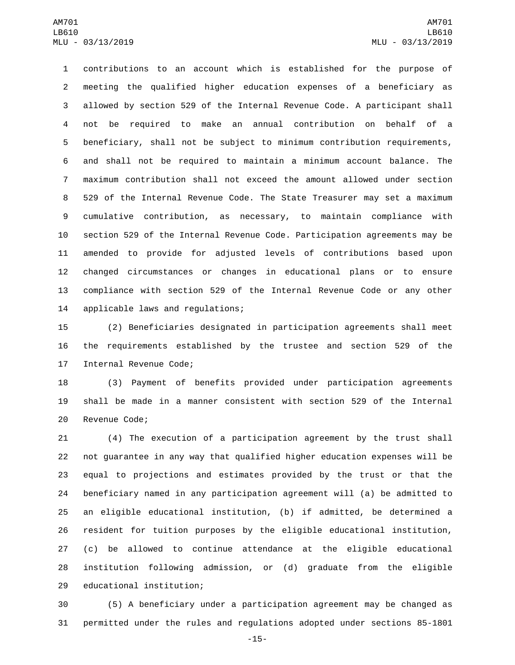contributions to an account which is established for the purpose of meeting the qualified higher education expenses of a beneficiary as allowed by section 529 of the Internal Revenue Code. A participant shall not be required to make an annual contribution on behalf of a beneficiary, shall not be subject to minimum contribution requirements, and shall not be required to maintain a minimum account balance. The maximum contribution shall not exceed the amount allowed under section 529 of the Internal Revenue Code. The State Treasurer may set a maximum cumulative contribution, as necessary, to maintain compliance with section 529 of the Internal Revenue Code. Participation agreements may be amended to provide for adjusted levels of contributions based upon changed circumstances or changes in educational plans or to ensure compliance with section 529 of the Internal Revenue Code or any other 14 applicable laws and regulations;

 (2) Beneficiaries designated in participation agreements shall meet the requirements established by the trustee and section 529 of the 17 Internal Revenue Code;

 (3) Payment of benefits provided under participation agreements shall be made in a manner consistent with section 529 of the Internal 20 Revenue Code;

 (4) The execution of a participation agreement by the trust shall not guarantee in any way that qualified higher education expenses will be equal to projections and estimates provided by the trust or that the beneficiary named in any participation agreement will (a) be admitted to an eligible educational institution, (b) if admitted, be determined a resident for tuition purposes by the eligible educational institution, (c) be allowed to continue attendance at the eligible educational institution following admission, or (d) graduate from the eligible 29 educational institution;

 (5) A beneficiary under a participation agreement may be changed as permitted under the rules and regulations adopted under sections 85-1801

-15-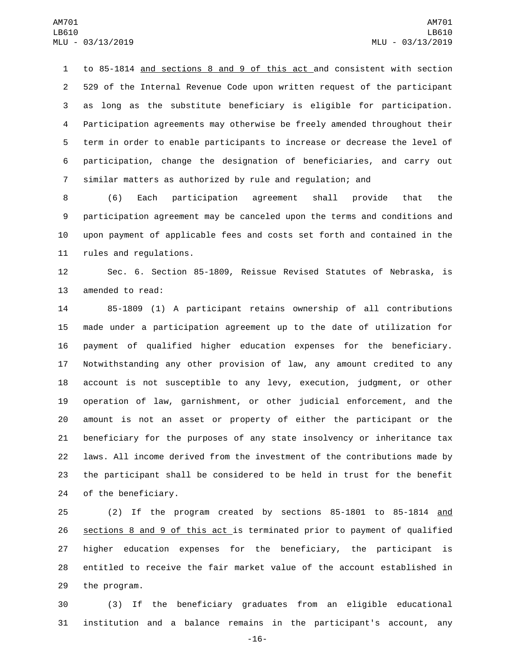to 85-1814 and sections 8 and 9 of this act and consistent with section 529 of the Internal Revenue Code upon written request of the participant as long as the substitute beneficiary is eligible for participation. Participation agreements may otherwise be freely amended throughout their term in order to enable participants to increase or decrease the level of participation, change the designation of beneficiaries, and carry out similar matters as authorized by rule and regulation; and

 (6) Each participation agreement shall provide that the participation agreement may be canceled upon the terms and conditions and upon payment of applicable fees and costs set forth and contained in the 11 rules and regulations.

 Sec. 6. Section 85-1809, Reissue Revised Statutes of Nebraska, is 13 amended to read:

 85-1809 (1) A participant retains ownership of all contributions made under a participation agreement up to the date of utilization for payment of qualified higher education expenses for the beneficiary. Notwithstanding any other provision of law, any amount credited to any account is not susceptible to any levy, execution, judgment, or other operation of law, garnishment, or other judicial enforcement, and the amount is not an asset or property of either the participant or the beneficiary for the purposes of any state insolvency or inheritance tax laws. All income derived from the investment of the contributions made by the participant shall be considered to be held in trust for the benefit 24 of the beneficiary.

 (2) If the program created by sections 85-1801 to 85-1814 and sections 8 and 9 of this act is terminated prior to payment of qualified higher education expenses for the beneficiary, the participant is entitled to receive the fair market value of the account established in 29 the program.

 (3) If the beneficiary graduates from an eligible educational institution and a balance remains in the participant's account, any

-16-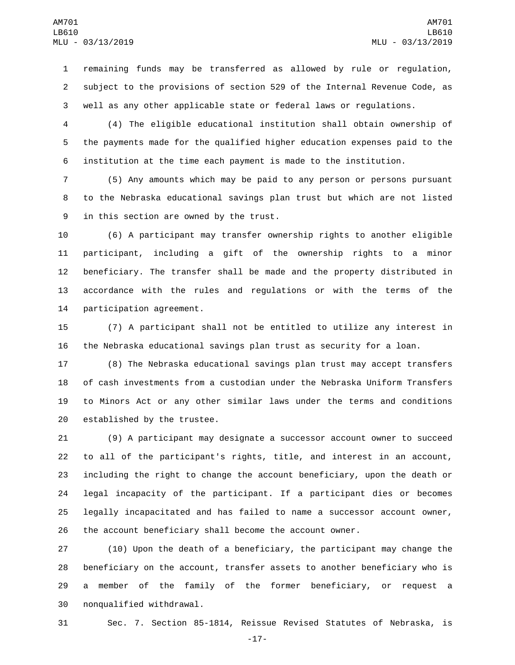remaining funds may be transferred as allowed by rule or regulation, subject to the provisions of section 529 of the Internal Revenue Code, as well as any other applicable state or federal laws or regulations.

 (4) The eligible educational institution shall obtain ownership of the payments made for the qualified higher education expenses paid to the institution at the time each payment is made to the institution.

 (5) Any amounts which may be paid to any person or persons pursuant to the Nebraska educational savings plan trust but which are not listed 9 in this section are owned by the trust.

 (6) A participant may transfer ownership rights to another eligible participant, including a gift of the ownership rights to a minor beneficiary. The transfer shall be made and the property distributed in accordance with the rules and regulations or with the terms of the 14 participation agreement.

 (7) A participant shall not be entitled to utilize any interest in the Nebraska educational savings plan trust as security for a loan.

 (8) The Nebraska educational savings plan trust may accept transfers of cash investments from a custodian under the Nebraska Uniform Transfers to Minors Act or any other similar laws under the terms and conditions 20 established by the trustee.

 (9) A participant may designate a successor account owner to succeed to all of the participant's rights, title, and interest in an account, including the right to change the account beneficiary, upon the death or legal incapacity of the participant. If a participant dies or becomes legally incapacitated and has failed to name a successor account owner, the account beneficiary shall become the account owner.

 (10) Upon the death of a beneficiary, the participant may change the beneficiary on the account, transfer assets to another beneficiary who is a member of the family of the former beneficiary, or request a 30 nonqualified withdrawal.

Sec. 7. Section 85-1814, Reissue Revised Statutes of Nebraska, is

-17-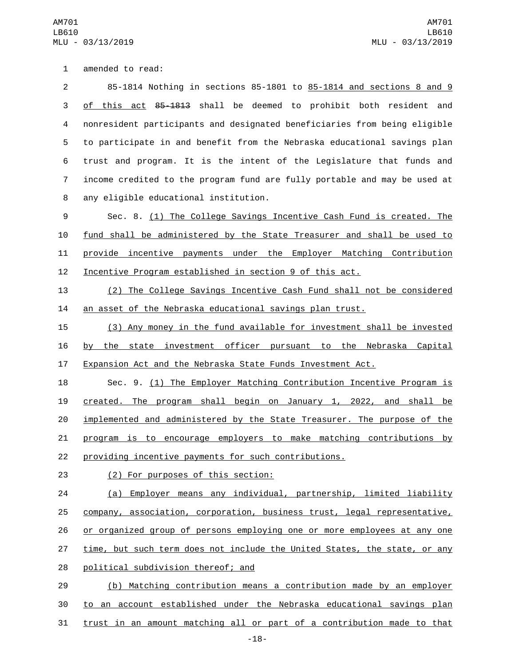1 amended to read:

 85-1814 Nothing in sections 85-1801 to 85-1814 and sections 8 and 9 3 of this act 85-1813 shall be deemed to prohibit both resident and nonresident participants and designated beneficiaries from being eligible to participate in and benefit from the Nebraska educational savings plan trust and program. It is the intent of the Legislature that funds and income credited to the program fund are fully portable and may be used at any eligible educational institution.8

 Sec. 8. (1) The College Savings Incentive Cash Fund is created. The fund shall be administered by the State Treasurer and shall be used to provide incentive payments under the Employer Matching Contribution Incentive Program established in section 9 of this act.

 (2) The College Savings Incentive Cash Fund shall not be considered an asset of the Nebraska educational savings plan trust.

 (3) Any money in the fund available for investment shall be invested by the state investment officer pursuant to the Nebraska Capital Expansion Act and the Nebraska State Funds Investment Act.

 Sec. 9. (1) The Employer Matching Contribution Incentive Program is created. The program shall begin on January 1, 2022, and shall be implemented and administered by the State Treasurer. The purpose of the program is to encourage employers to make matching contributions by providing incentive payments for such contributions.

(2) For purposes of this section:23

 (a) Employer means any individual, partnership, limited liability company, association, corporation, business trust, legal representative, or organized group of persons employing one or more employees at any one 27 time, but such term does not include the United States, the state, or any 28 political subdivision thereof; and

 (b) Matching contribution means a contribution made by an employer to an account established under the Nebraska educational savings plan trust in an amount matching all or part of a contribution made to that

-18-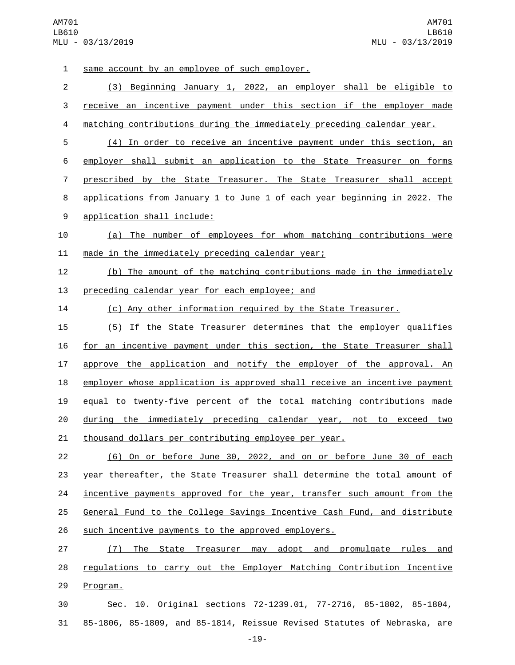1 same account by an employee of such employer. (3) Beginning January 1, 2022, an employer shall be eligible to receive an incentive payment under this section if the employer made matching contributions during the immediately preceding calendar year. (4) In order to receive an incentive payment under this section, an employer shall submit an application to the State Treasurer on forms prescribed by the State Treasurer. The State Treasurer shall accept applications from January 1 to June 1 of each year beginning in 2022. The 9 application shall include: (a) The number of employees for whom matching contributions were 11 made in the immediately preceding calendar year; (b) The amount of the matching contributions made in the immediately 13 preceding calendar year for each employee; and (c) Any other information required by the State Treasurer. (5) If the State Treasurer determines that the employer qualifies for an incentive payment under this section, the State Treasurer shall approve the application and notify the employer of the approval. An 18 employer whose application is approved shall receive an incentive payment equal to twenty-five percent of the total matching contributions made during the immediately preceding calendar year, not to exceed two thousand dollars per contributing employee per year. (6) On or before June 30, 2022, and on or before June 30 of each year thereafter, the State Treasurer shall determine the total amount of 24 incentive payments approved for the year, transfer such amount from the General Fund to the College Savings Incentive Cash Fund, and distribute such incentive payments to the approved employers. (7) The State Treasurer may adopt and promulgate rules and regulations to carry out the Employer Matching Contribution Incentive 29 Program. Sec. 10. Original sections 72-1239.01, 77-2716, 85-1802, 85-1804, 85-1806, 85-1809, and 85-1814, Reissue Revised Statutes of Nebraska, are

-19-